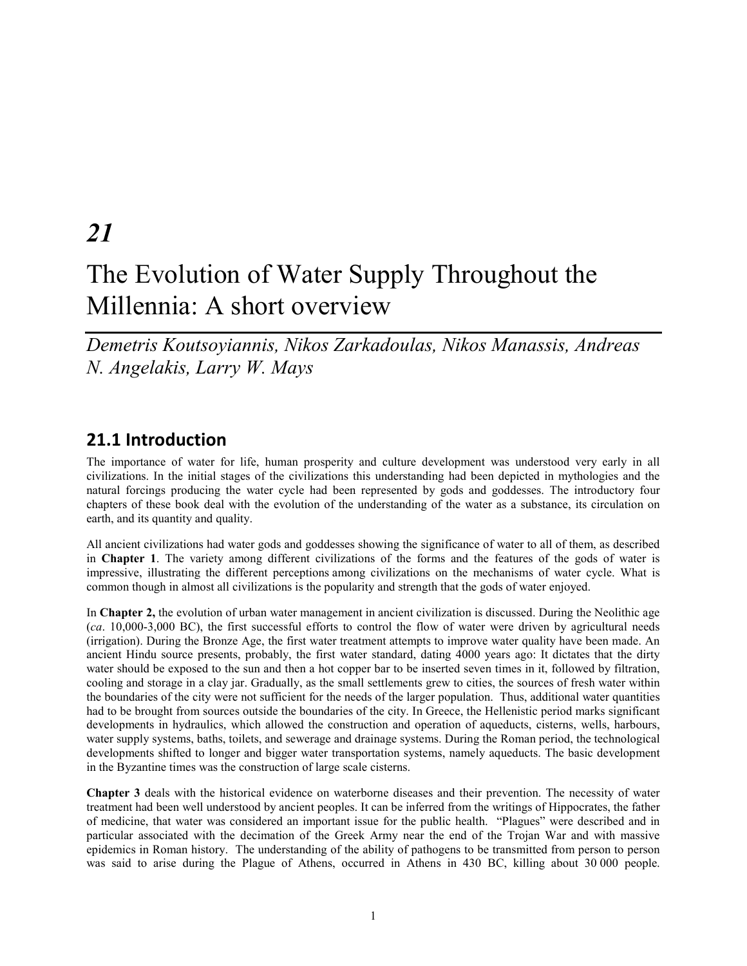# *21*

# The Evolution of Water Supply Throughout the Millennia: A short overview

*Demetris Koutsoyiannis, Nikos Zarkadoulas, Nikos Manassis, Andreas N. Angelakis, Larry W. Mays* 

#### **21.1 Introduction**

The importance of water for life, human prosperity and culture development was understood very early in all civilizations. In the initial stages of the civilizations this understanding had been depicted in mythologies and the natural forcings producing the water cycle had been represented by gods and goddesses. The introductory four chapters of these book deal with the evolution of the understanding of the water as a substance, its circulation on earth, and its quantity and quality.

All ancient civilizations had water gods and goddesses showing the significance of water to all of them, as described in **Chapter 1**. The variety among different civilizations of the forms and the features of the gods of water is impressive, illustrating the different perceptions among civilizations on the mechanisms of water cycle. What is common though in almost all civilizations is the popularity and strength that the gods of water enjoyed.

In **Chapter 2,** the evolution of urban water management in ancient civilization is discussed. During the Neolithic age (*ca*. 10,000-3,000 BC), the first successful efforts to control the flow of water were driven by agricultural needs (irrigation). During the Bronze Age, the first water treatment attempts to improve water quality have been made. An ancient Hindu source presents, probably, the first water standard, dating 4000 years ago: It dictates that the dirty water should be exposed to the sun and then a hot copper bar to be inserted seven times in it, followed by filtration, cooling and storage in a clay jar. Gradually, as the small settlements grew to cities, the sources of fresh water within the boundaries of the city were not sufficient for the needs of the larger population. Thus, additional water quantities had to be brought from sources outside the boundaries of the city. In Greece, the Hellenistic period marks significant developments in hydraulics, which allowed the construction and operation of aqueducts, cisterns, wells, harbours, water supply systems, baths, toilets, and sewerage and drainage systems. During the Roman period, the technological developments shifted to longer and bigger water transportation systems, namely aqueducts. The basic development in the Byzantine times was the construction of large scale cisterns.

**Chapter 3** deals with the historical evidence on waterborne diseases and their prevention. The necessity of water treatment had been well understood by ancient peoples. It can be inferred from the writings of Hippocrates, the father of medicine, that water was considered an important issue for the public health. "Plagues" were described and in particular associated with the decimation of the Greek Army near the end of the Trojan War and with massive epidemics in Roman history. The understanding of the ability of pathogens to be transmitted from person to person was said to arise during the Plague of Athens, occurred in Athens in 430 BC, killing about 30 000 people.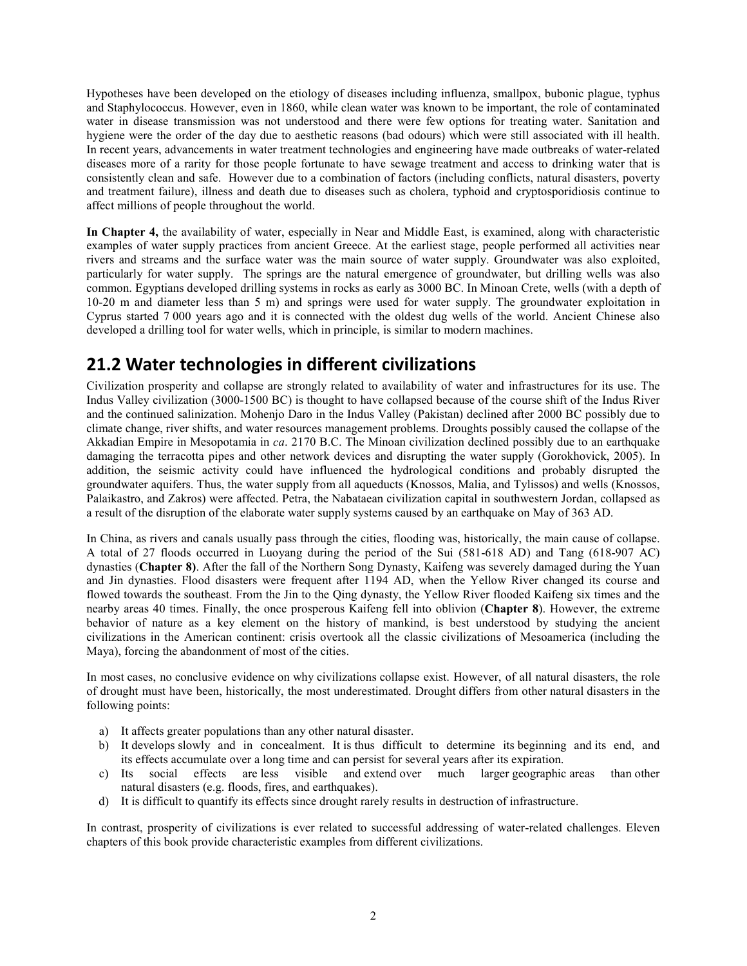Hypotheses have been developed on the etiology of diseases including influenza, smallpox, bubonic plague, typhus and Staphylococcus. However, even in 1860, while clean water was known to be important, the role of contaminated water in disease transmission was not understood and there were few options for treating water. Sanitation and hygiene were the order of the day due to aesthetic reasons (bad odours) which were still associated with ill health. In recent years, advancements in water treatment technologies and engineering have made outbreaks of water-related diseases more of a rarity for those people fortunate to have sewage treatment and access to drinking water that is consistently clean and safe. However due to a combination of factors (including conflicts, natural disasters, poverty and treatment failure), illness and death due to diseases such as cholera, typhoid and cryptosporidiosis continue to affect millions of people throughout the world.

**In Chapter 4,** the availability of water, especially in Near and Middle East, is examined, along with characteristic examples of water supply practices from ancient Greece. At the earliest stage, people performed all activities near rivers and streams and the surface water was the main source of water supply. Groundwater was also exploited, particularly for water supply. The springs are the natural emergence of groundwater, but drilling wells was also common. Egyptians developed drilling systems in rocks as early as 3000 BC. In Minoan Crete, wells (with a depth of 10-20 m and diameter less than 5 m) and springs were used for water supply. The groundwater exploitation in Cyprus started 7 000 years ago and it is connected with the oldest dug wells of the world. Ancient Chinese also developed a drilling tool for water wells, which in principle, is similar to modern machines.

## **21.2 Water technologies in different civilizations**

Civilization prosperity and collapse are strongly related to availability of water and infrastructures for its use. The Indus Valley civilization (3000-1500 BC) is thought to have collapsed because of the course shift of the Indus River and the continued salinization. Mohenjo Daro in the Indus Valley (Pakistan) declined after 2000 BC possibly due to climate change, river shifts, and water resources management problems. Droughts possibly caused the collapse of the Akkadian Empire in Mesopotamia in *ca*. 2170 B.C. The Minoan civilization declined possibly due to an earthquake damaging the terracotta pipes and other network devices and disrupting the water supply (Gorokhovick, 2005). In addition, the seismic activity could have influenced the hydrological conditions and probably disrupted the groundwater aquifers. Thus, the water supply from all aqueducts (Knossos, Malia, and Tylissos) and wells (Knossos, Palaikastro, and Zakros) were affected. Petra, the Nabataean civilization capital in southwestern Jordan, collapsed as a result of the disruption of the elaborate water supply systems caused by an earthquake on May of 363 AD.

In China, as rivers and canals usually pass through the cities, flooding was, historically, the main cause of collapse. A total of 27 floods occurred in Luoyang during the period of the Sui (581-618 AD) and Tang (618-907 AC) dynasties (**Chapter 8)**. After the fall of the Northern Song Dynasty, Kaifeng was severely damaged during the Yuan and Jin dynasties. Flood disasters were frequent after 1194 AD, when the Yellow River changed its course and flowed towards the southeast. From the Jin to the Qing dynasty, the Yellow River flooded Kaifeng six times and the nearby areas 40 times. Finally, the once prosperous Kaifeng fell into oblivion (**Chapter 8**). However, the extreme behavior of nature as a key element on the history of mankind, is best understood by studying the ancient civilizations in the American continent: crisis overtook all the classic civilizations of Mesoamerica (including the Maya), forcing the abandonment of most of the cities.

In most cases, no conclusive evidence on why civilizations collapse exist. However, of all natural disasters, the role of drought must have been, historically, the most underestimated. Drought differs from other natural disasters in the following points:

- a) It affects greater populations than any other natural disaster.
- b) It develops slowly and in concealment. It is thus difficult to determine its beginning and its end, and its effects accumulate over a long time and can persist for several years after its expiration.
- c) Its social effects are less visible and extend over much larger geographic areas than other natural disasters (e.g. floods, fires, and earthquakes).
- d) It is difficult to quantify its effects since drought rarely results in destruction of infrastructure.

In contrast, prosperity of civilizations is ever related to successful addressing of water-related challenges. Eleven chapters of this book provide characteristic examples from different civilizations.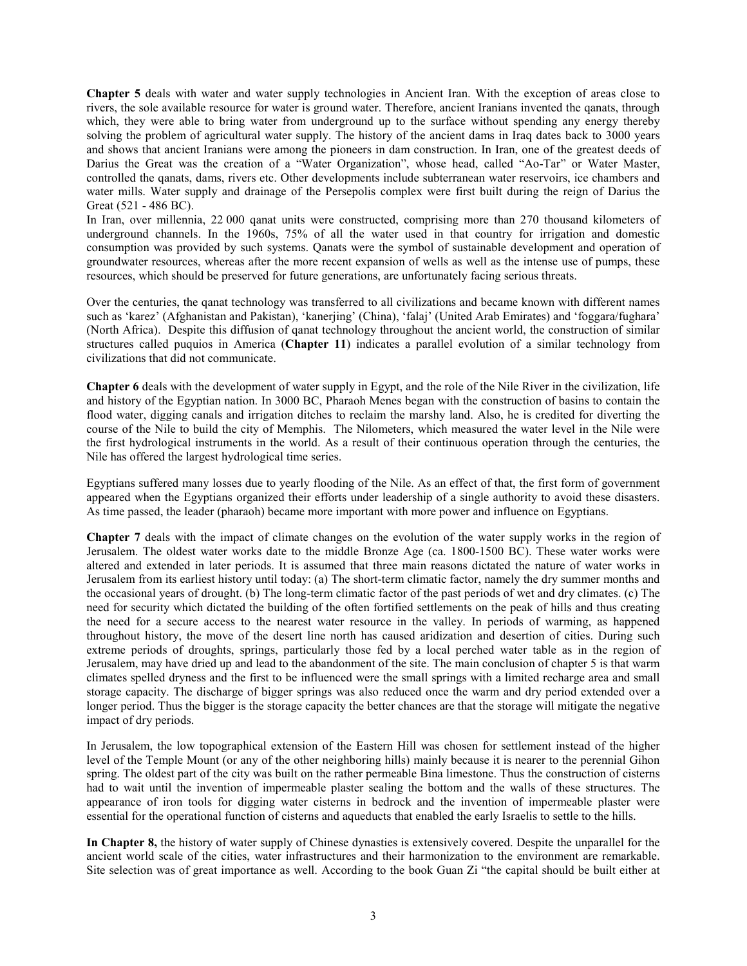**Chapter 5** deals with water and water supply technologies in Ancient Iran. With the exception of areas close to rivers, the sole available resource for water is ground water. Therefore, ancient Iranians invented the qanats, through which, they were able to bring water from underground up to the surface without spending any energy thereby solving the problem of agricultural water supply. The history of the ancient dams in Iraq dates back to 3000 years and shows that ancient Iranians were among the pioneers in dam construction. In Iran, one of the greatest deeds of Darius the Great was the creation of a "Water Organization", whose head, called "Ao-Tar" or Water Master, controlled the qanats, dams, rivers etc. Other developments include subterranean water reservoirs, ice chambers and water mills. Water supply and drainage of the Persepolis complex were first built during the reign of Darius the Great (521 - 486 BC).

In Iran, over millennia, 22 000 qanat units were constructed, comprising more than 270 thousand kilometers of underground channels. In the 1960s, 75% of all the water used in that country for irrigation and domestic consumption was provided by such systems. Qanats were the symbol of sustainable development and operation of groundwater resources, whereas after the more recent expansion of wells as well as the intense use of pumps, these resources, which should be preserved for future generations, are unfortunately facing serious threats.

Over the centuries, the qanat technology was transferred to all civilizations and became known with different names such as 'karez' (Afghanistan and Pakistan), 'kanerjing' (China), 'falaj' (United Arab Emirates) and 'foggara/fughara' (North Africa). Despite this diffusion of qanat technology throughout the ancient world, the construction of similar structures called puquios in America (**Chapter 11**) indicates a parallel evolution of a similar technology from civilizations that did not communicate.

**Chapter 6** deals with the development of water supply in Egypt, and the role of the Nile River in the civilization, life and history of the Egyptian nation. In 3000 BC, Pharaoh Menes began with the construction of basins to contain the flood water, digging canals and irrigation ditches to reclaim the marshy land. Also, he is credited for diverting the course of the Nile to build the city of Memphis. The Nilometers, which measured the water level in the Nile were the first hydrological instruments in the world. As a result of their continuous operation through the centuries, the Nile has offered the largest hydrological time series.

Egyptians suffered many losses due to yearly flooding of the Nile. As an effect of that, the first form of government appeared when the Egyptians organized their efforts under leadership of a single authority to avoid these disasters. As time passed, the leader (pharaoh) became more important with more power and influence on Egyptians.

**Chapter 7** deals with the impact of climate changes on the evolution of the water supply works in the region of Jerusalem. The oldest water works date to the middle Bronze Age (ca. 1800-1500 BC). These water works were altered and extended in later periods. It is assumed that three main reasons dictated the nature of water works in Jerusalem from its earliest history until today: (a) The short-term climatic factor, namely the dry summer months and the occasional years of drought. (b) The long-term climatic factor of the past periods of wet and dry climates. (c) The need for security which dictated the building of the often fortified settlements on the peak of hills and thus creating the need for a secure access to the nearest water resource in the valley. In periods of warming, as happened throughout history, the move of the desert line north has caused aridization and desertion of cities. During such extreme periods of droughts, springs, particularly those fed by a local perched water table as in the region of Jerusalem, may have dried up and lead to the abandonment of the site. The main conclusion of chapter 5 is that warm climates spelled dryness and the first to be influenced were the small springs with a limited recharge area and small storage capacity. The discharge of bigger springs was also reduced once the warm and dry period extended over a longer period. Thus the bigger is the storage capacity the better chances are that the storage will mitigate the negative impact of dry periods.

In Jerusalem, the low topographical extension of the Eastern Hill was chosen for settlement instead of the higher level of the Temple Mount (or any of the other neighboring hills) mainly because it is nearer to the perennial Gihon spring. The oldest part of the city was built on the rather permeable Bina limestone. Thus the construction of cisterns had to wait until the invention of impermeable plaster sealing the bottom and the walls of these structures. The appearance of iron tools for digging water cisterns in bedrock and the invention of impermeable plaster were essential for the operational function of cisterns and aqueducts that enabled the early Israelis to settle to the hills.

**In Chapter 8,** the history of water supply of Chinese dynasties is extensively covered. Despite the unparallel for the ancient world scale of the cities, water infrastructures and their harmonization to the environment are remarkable. Site selection was of great importance as well. According to the book Guan Zi "the capital should be built either at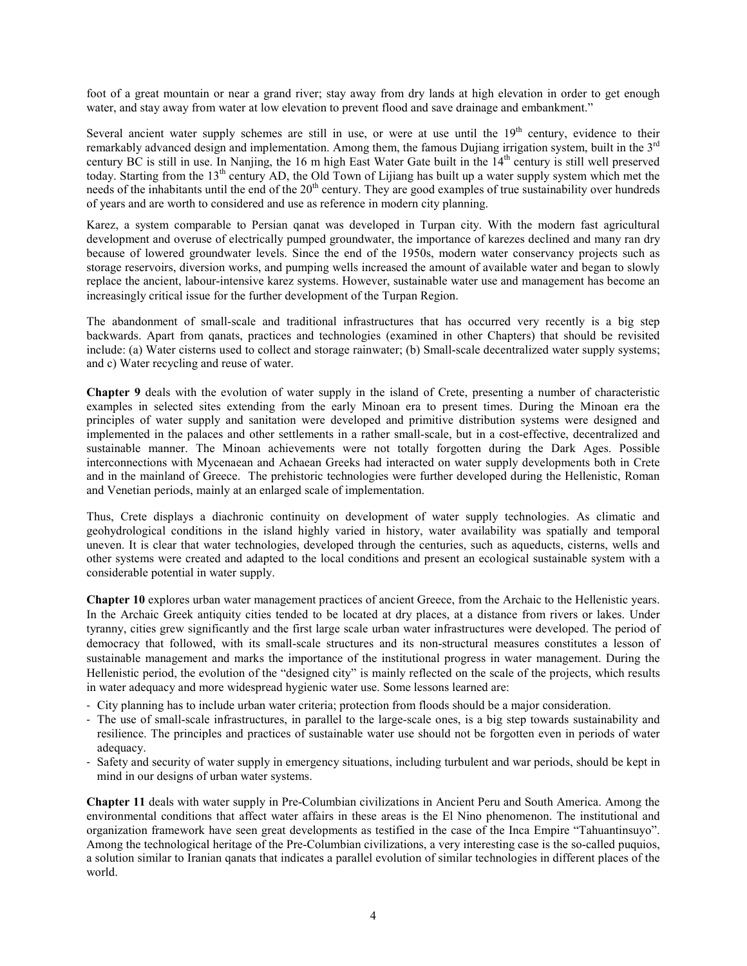foot of a great mountain or near a grand river; stay away from dry lands at high elevation in order to get enough water, and stay away from water at low elevation to prevent flood and save drainage and embankment."

Several ancient water supply schemes are still in use, or were at use until the  $19<sup>th</sup>$  century, evidence to their remarkably advanced design and implementation. Among them, the famous Dujiang irrigation system, built in the 3rd century BC is still in use. In Nanjing, the 16 m high East Water Gate built in the 14<sup>th</sup> century is still well preserved today. Starting from the 13<sup>th</sup> century AD, the Old Town of Lijiang has built up a water supply system which met the needs of the inhabitants until the end of the 20<sup>th</sup> century. They are good examples of true sustainability over hundreds of years and are worth to considered and use as reference in modern city planning.

Karez, a system comparable to Persian qanat was developed in Turpan city. With the modern fast agricultural development and overuse of electrically pumped groundwater, the importance of karezes declined and many ran dry because of lowered groundwater levels. Since the end of the 1950s, modern water conservancy projects such as storage reservoirs, diversion works, and pumping wells increased the amount of available water and began to slowly replace the ancient, labour-intensive karez systems. However, sustainable water use and management has become an increasingly critical issue for the further development of the Turpan Region.

The abandonment of small-scale and traditional infrastructures that has occurred very recently is a big step backwards. Apart from qanats, practices and technologies (examined in other Chapters) that should be revisited include: (a) Water cisterns used to collect and storage rainwater; (b) Small-scale decentralized water supply systems; and c) Water recycling and reuse of water.

**Chapter 9** deals with the evolution of water supply in the island of Crete, presenting a number of characteristic examples in selected sites extending from the early Minoan era to present times. During the Minoan era the principles of water supply and sanitation were developed and primitive distribution systems were designed and implemented in the palaces and other settlements in a rather small-scale, but in a cost-effective, decentralized and sustainable manner. The Minoan achievements were not totally forgotten during the Dark Ages. Possible interconnections with Mycenaean and Achaean Greeks had interacted on water supply developments both in Crete and in the mainland of Greece. The prehistoric technologies were further developed during the Hellenistic, Roman and Venetian periods, mainly at an enlarged scale of implementation.

Thus, Crete displays a diachronic continuity on development of water supply technologies. As climatic and geohydrological conditions in the island highly varied in history, water availability was spatially and temporal uneven. It is clear that water technologies, developed through the centuries, such as aqueducts, cisterns, wells and other systems were created and adapted to the local conditions and present an ecological sustainable system with a considerable potential in water supply.

**Chapter 10** explores urban water management practices of ancient Greece, from the Archaic to the Hellenistic years. In the Archaic Greek antiquity cities tended to be located at dry places, at a distance from rivers or lakes. Under tyranny, cities grew significantly and the first large scale urban water infrastructures were developed. The period of democracy that followed, with its small-scale structures and its non-structural measures constitutes a lesson of sustainable management and marks the importance of the institutional progress in water management. During the Hellenistic period, the evolution of the "designed city" is mainly reflected on the scale of the projects, which results in water adequacy and more widespread hygienic water use. Some lessons learned are:

- City planning has to include urban water criteria; protection from floods should be a major consideration.
- The use of small-scale infrastructures, in parallel to the large-scale ones, is a big step towards sustainability and resilience. The principles and practices of sustainable water use should not be forgotten even in periods of water adequacy.
- Safety and security of water supply in emergency situations, including turbulent and war periods, should be kept in mind in our designs of urban water systems.

**Chapter 11** deals with water supply in Pre-Columbian civilizations in Ancient Peru and South America. Among the environmental conditions that affect water affairs in these areas is the El Nino phenomenon. The institutional and organization framework have seen great developments as testified in the case of the Inca Empire "Tahuantinsuyo". Among the technological heritage of the Pre-Columbian civilizations, a very interesting case is the so-called puquios, a solution similar to Iranian qanats that indicates a parallel evolution of similar technologies in different places of the world.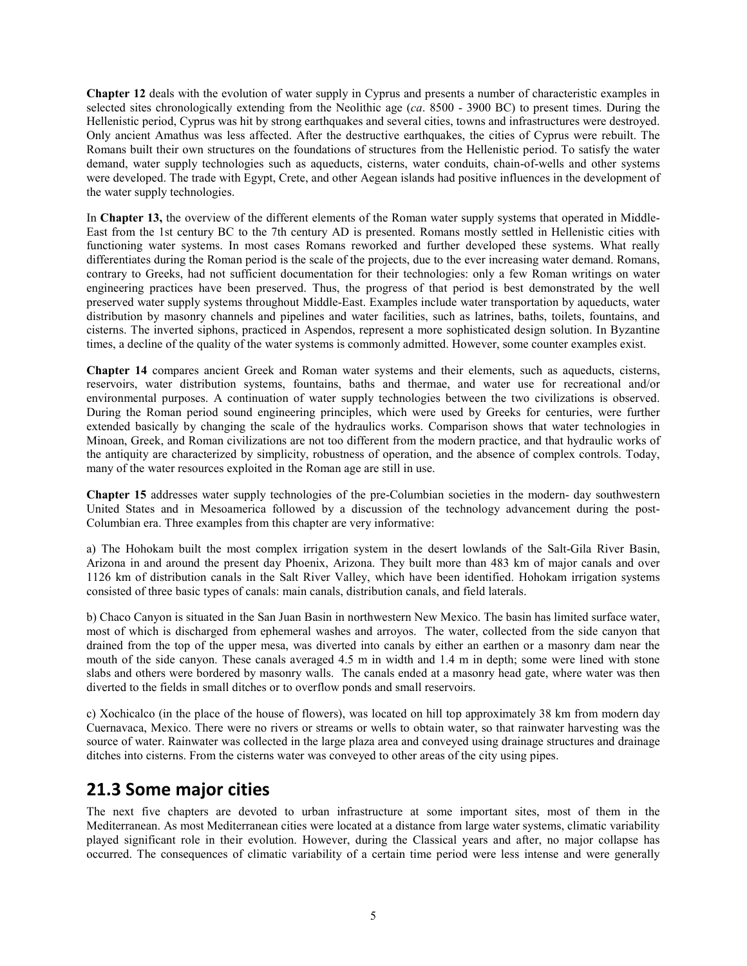**Chapter 12** deals with the evolution of water supply in Cyprus and presents a number of characteristic examples in selected sites chronologically extending from the Neolithic age (*ca*. 8500 - 3900 BC) to present times. During the Hellenistic period, Cyprus was hit by strong earthquakes and several cities, towns and infrastructures were destroyed. Only ancient Amathus was less affected. After the destructive earthquakes, the cities of Cyprus were rebuilt. The Romans built their own structures on the foundations of structures from the Hellenistic period. To satisfy the water demand, water supply technologies such as aqueducts, cisterns, water conduits, chain-of-wells and other systems were developed. The trade with Egypt, Crete, and other Aegean islands had positive influences in the development of the water supply technologies.

In **Chapter 13,** the overview of the different elements of the Roman water supply systems that operated in Middle-East from the 1st century BC to the 7th century AD is presented. Romans mostly settled in Hellenistic cities with functioning water systems. In most cases Romans reworked and further developed these systems. What really differentiates during the Roman period is the scale of the projects, due to the ever increasing water demand. Romans, contrary to Greeks, had not sufficient documentation for their technologies: only a few Roman writings on water engineering practices have been preserved. Thus, the progress of that period is best demonstrated by the well preserved water supply systems throughout Middle-East. Examples include water transportation by aqueducts, water distribution by masonry channels and pipelines and water facilities, such as latrines, baths, toilets, fountains, and cisterns. The inverted siphons, practiced in Aspendos, represent a more sophisticated design solution. In Byzantine times, a decline of the quality of the water systems is commonly admitted. However, some counter examples exist.

**Chapter 14** compares ancient Greek and Roman water systems and their elements, such as aqueducts, cisterns, reservoirs, water distribution systems, fountains, baths and thermae, and water use for recreational and/or environmental purposes. A continuation of water supply technologies between the two civilizations is observed. During the Roman period sound engineering principles, which were used by Greeks for centuries, were further extended basically by changing the scale of the hydraulics works. Comparison shows that water technologies in Minoan, Greek, and Roman civilizations are not too different from the modern practice, and that hydraulic works of the antiquity are characterized by simplicity, robustness of operation, and the absence of complex controls. Today, many of the water resources exploited in the Roman age are still in use.

**Chapter 15** addresses water supply technologies of the pre-Columbian societies in the modern- day southwestern United States and in Mesoamerica followed by a discussion of the technology advancement during the post-Columbian era. Three examples from this chapter are very informative:

a) The Hohokam built the most complex irrigation system in the desert lowlands of the Salt-Gila River Basin, Arizona in and around the present day Phoenix, Arizona. They built more than 483 km of major canals and over 1126 km of distribution canals in the Salt River Valley, which have been identified. Hohokam irrigation systems consisted of three basic types of canals: main canals, distribution canals, and field laterals.

b) Chaco Canyon is situated in the San Juan Basin in northwestern New Mexico. The basin has limited surface water, most of which is discharged from ephemeral washes and arroyos. The water, collected from the side canyon that drained from the top of the upper mesa, was diverted into canals by either an earthen or a masonry dam near the mouth of the side canyon. These canals averaged 4.5 m in width and 1.4 m in depth; some were lined with stone slabs and others were bordered by masonry walls. The canals ended at a masonry head gate, where water was then diverted to the fields in small ditches or to overflow ponds and small reservoirs.

c) Xochicalco (in the place of the house of flowers), was located on hill top approximately 38 km from modern day Cuernavaca, Mexico. There were no rivers or streams or wells to obtain water, so that rainwater harvesting was the source of water. Rainwater was collected in the large plaza area and conveyed using drainage structures and drainage ditches into cisterns. From the cisterns water was conveyed to other areas of the city using pipes.

### **21.3 Some major cities**

The next five chapters are devoted to urban infrastructure at some important sites, most of them in the Mediterranean. As most Mediterranean cities were located at a distance from large water systems, climatic variability played significant role in their evolution. However, during the Classical years and after, no major collapse has occurred. The consequences of climatic variability of a certain time period were less intense and were generally